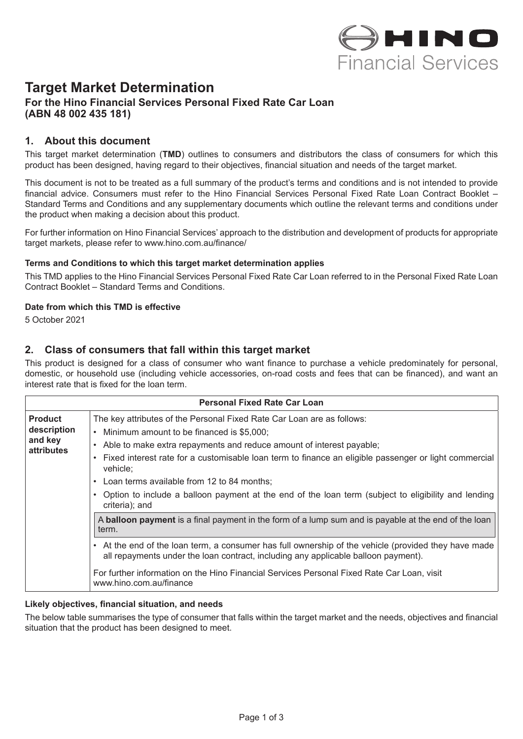

# **Target Market Determination**

## **For the Hino Financial Services Personal Fixed Rate Car Loan (ABN 48 002 435 181)**

## **1. About this document**

This target market determination (**TMD**) outlines to consumers and distributors the class of consumers for which this product has been designed, having regard to their objectives, financial situation and needs of the target market.

This document is not to be treated as a full summary of the product's terms and conditions and is not intended to provide financial advice. Consumers must refer to the Hino Financial Services Personal Fixed Rate Loan Contract Booklet – Standard Terms and Conditions and any supplementary documents which outline the relevant terms and conditions under the product when making a decision about this product.

For further information on Hino Financial Services' approach to the distribution and development of products for appropriate target markets, please refer to www.hino.com.au/finance/

#### **Terms and Conditions to which this target market determination applies**

This TMD applies to the Hino Financial Services Personal Fixed Rate Car Loan referred to in the Personal Fixed Rate Loan Contract Booklet – Standard Terms and Conditions.

#### **Date from which this TMD is effective**

5 October 2021

## **2. Class of consumers that fall within this target market**

This product is designed for a class of consumer who want finance to purchase a vehicle predominately for personal, domestic, or household use (including vehicle accessories, on-road costs and fees that can be financed), and want an interest rate that is fixed for the loan term.

| <b>Personal Fixed Rate Car Loan</b>                                                                                                                                                                                                                                                                                                                                                                                                                                                                  |  |  |
|------------------------------------------------------------------------------------------------------------------------------------------------------------------------------------------------------------------------------------------------------------------------------------------------------------------------------------------------------------------------------------------------------------------------------------------------------------------------------------------------------|--|--|
| The key attributes of the Personal Fixed Rate Car Loan are as follows:<br>Minimum amount to be financed is \$5,000;<br>Able to make extra repayments and reduce amount of interest payable;<br>Fixed interest rate for a customisable loan term to finance an eligible passenger or light commercial<br>vehicle:<br>Loan terms available from 12 to 84 months;<br>$\bullet$<br>Option to include a balloon payment at the end of the loan term (subject to eligibility and lending<br>criteria); and |  |  |
| A <b>balloon payment</b> is a final payment in the form of a lump sum and is payable at the end of the loan<br>term.                                                                                                                                                                                                                                                                                                                                                                                 |  |  |
| • At the end of the loan term, a consumer has full ownership of the vehicle (provided they have made<br>all repayments under the loan contract, including any applicable balloon payment).<br>For further information on the Hino Financial Services Personal Fixed Rate Car Loan, visit<br>www.hino.com.au/finance                                                                                                                                                                                  |  |  |
|                                                                                                                                                                                                                                                                                                                                                                                                                                                                                                      |  |  |

#### **Likely objectives, financial situation, and needs**

The below table summarises the type of consumer that falls within the target market and the needs, objectives and financial situation that the product has been designed to meet.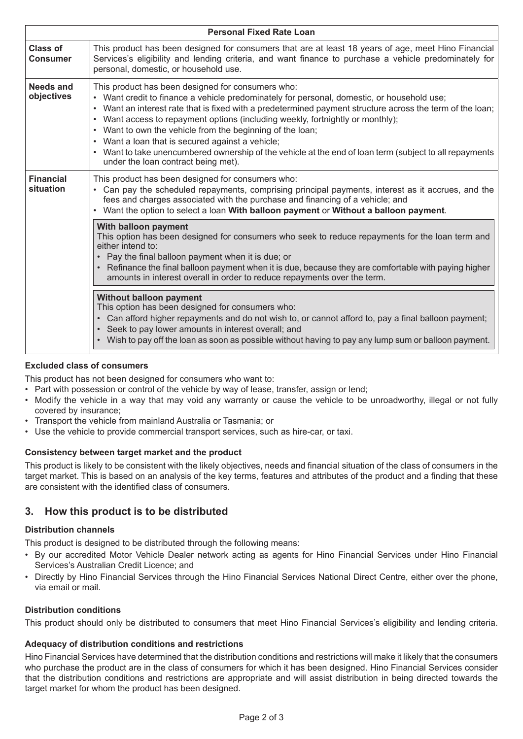| <b>Personal Fixed Rate Loan</b>    |                                                                                                                                                                                                                                                                                                                                                                                                                                                                                                                                                                                                                 |  |
|------------------------------------|-----------------------------------------------------------------------------------------------------------------------------------------------------------------------------------------------------------------------------------------------------------------------------------------------------------------------------------------------------------------------------------------------------------------------------------------------------------------------------------------------------------------------------------------------------------------------------------------------------------------|--|
| <b>Class of</b><br><b>Consumer</b> | This product has been designed for consumers that are at least 18 years of age, meet Hino Financial<br>Services's eligibility and lending criteria, and want finance to purchase a vehicle predominately for<br>personal, domestic, or household use.                                                                                                                                                                                                                                                                                                                                                           |  |
| Needs and<br>objectives            | This product has been designed for consumers who:<br>• Want credit to finance a vehicle predominately for personal, domestic, or household use;<br>• Want an interest rate that is fixed with a predetermined payment structure across the term of the loan;<br>• Want access to repayment options (including weekly, fortnightly or monthly);<br>• Want to own the vehicle from the beginning of the loan;<br>• Want a loan that is secured against a vehicle;<br>Want to take unencumbered ownership of the vehicle at the end of loan term (subject to all repayments<br>under the loan contract being met). |  |
| <b>Financial</b><br>situation      | This product has been designed for consumers who:<br>• Can pay the scheduled repayments, comprising principal payments, interest as it accrues, and the<br>fees and charges associated with the purchase and financing of a vehicle; and<br>• Want the option to select a loan With balloon payment or Without a balloon payment.                                                                                                                                                                                                                                                                               |  |
|                                    | With balloon payment<br>This option has been designed for consumers who seek to reduce repayments for the loan term and<br>either intend to:<br>Pay the final balloon payment when it is due; or<br>• Refinance the final balloon payment when it is due, because they are comfortable with paying higher<br>amounts in interest overall in order to reduce repayments over the term.                                                                                                                                                                                                                           |  |
|                                    | <b>Without balloon payment</b><br>This option has been designed for consumers who:<br>• Can afford higher repayments and do not wish to, or cannot afford to, pay a final balloon payment;<br>• Seek to pay lower amounts in interest overall; and<br>• Wish to pay off the loan as soon as possible without having to pay any lump sum or balloon payment.                                                                                                                                                                                                                                                     |  |

### **Excluded class of consumers**

This product has not been designed for consumers who want to:

- Part with possession or control of the vehicle by way of lease, transfer, assign or lend;
- Modify the vehicle in a way that may void any warranty or cause the vehicle to be unroadworthy, illegal or not fully covered by insurance;
- Transport the vehicle from mainland Australia or Tasmania; or
- Use the vehicle to provide commercial transport services, such as hire-car, or taxi.

#### **Consistency between target market and the product**

This product is likely to be consistent with the likely objectives, needs and financial situation of the class of consumers in the target market. This is based on an analysis of the key terms, features and attributes of the product and a finding that these are consistent with the identified class of consumers.

# **3. How this product is to be distributed**

#### **Distribution channels**

This product is designed to be distributed through the following means:

- By our accredited Motor Vehicle Dealer network acting as agents for Hino Financial Services under Hino Financial Services's Australian Credit Licence; and
- Directly by Hino Financial Services through the Hino Financial Services National Direct Centre, either over the phone, via email or mail.

#### **Distribution conditions**

This product should only be distributed to consumers that meet Hino Financial Services's eligibility and lending criteria.

#### **Adequacy of distribution conditions and restrictions**

Hino Financial Services have determined that the distribution conditions and restrictions will make it likely that the consumers who purchase the product are in the class of consumers for which it has been designed. Hino Financial Services consider that the distribution conditions and restrictions are appropriate and will assist distribution in being directed towards the target market for whom the product has been designed.